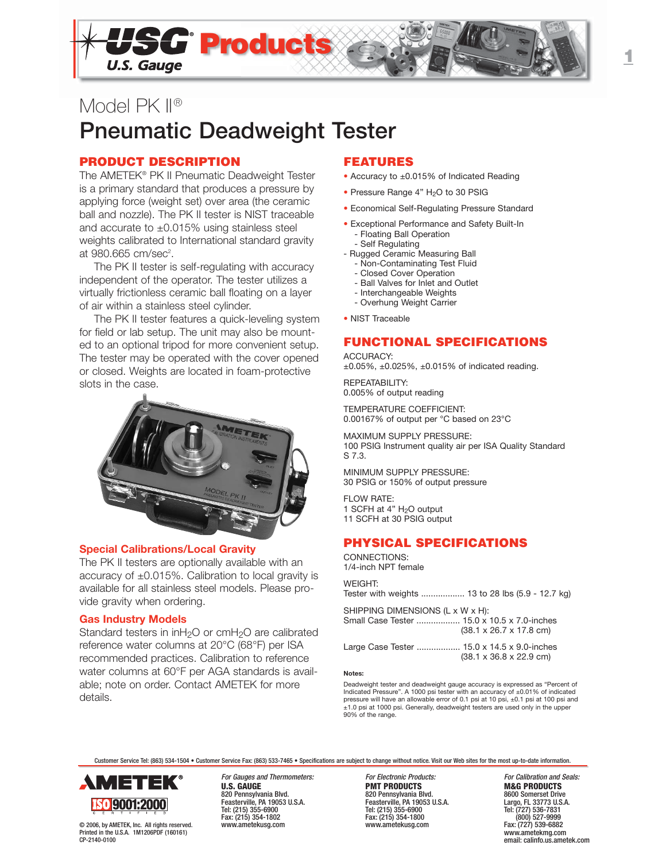

# Model PK II® **Pneumatic Deadweight Tester**

## **PRODUCT DESCRIPTION**

The AMETEK® PK II Pneumatic Deadweight Tester is a primary standard that produces a pressure by applying force (weight set) over area (the ceramic ball and nozzle). The PK II tester is NIST traceable and accurate to ±0.015% using stainless steel weights calibrated to International standard gravity at 980.665 cm/sec<sup>2</sup>.

The PK II tester is self-regulating with accuracy independent of the operator. The tester utilizes a virtually frictionless ceramic ball floating on a layer of air within a stainless steel cylinder.

The PK II tester features a quick-leveling system for field or lab setup. The unit may also be mounted to an optional tripod for more convenient setup. The tester may be operated with the cover opened or closed. Weights are located in foam-protective slots in the case.



### **Special Calibrations/Local Gravity**

The PK II testers are optionally available with an accuracy of ±0.015%. Calibration to local gravity is available for all stainless steel models. Please provide gravity when ordering.

## **Gas Industry Models**

Standard testers in inH<sub>2</sub>O or cmH<sub>2</sub>O are calibrated reference water columns at 20°C (68°F) per ISA recommended practices. Calibration to reference water columns at 60°F per AGA standards is available; note on order. Contact AMETEK for more details.

## **FEATURES**

- Accuracy to ±0.015% of Indicated Reading
- Pressure Range 4" H<sub>2</sub>O to 30 PSIG
- Economical Self-Regulating Pressure Standard
- Exceptional Performance and Safety Built-In - Floating Ball Operation
	- Self Regulating
- Rugged Ceramic Measuring Ball
	- Non-Contaminating Test Fluid
	- Closed Cover Operation
	- Ball Valves for Inlet and Outlet
	- Interchangeable Weights
	- Overhung Weight Carrier
- NIST Traceable

## **FUNCTIONAL SPECIFICATIONS**

ACCURACY:  $\pm 0.05\%$ ,  $\pm 0.025\%$ ,  $\pm 0.015\%$  of indicated reading.

REPEATABILITY: 0.005% of output reading

TEMPERATURE COEFFICIENT: 0.00167% of output per °C based on 23°C

MAXIMUM SUPPLY PRESSURE: 100 PSIG Instrument quality air per ISA Quality Standard S 7.3.

MINIMUM SUPPLY PRESSURE: 30 PSIG or 150% of output pressure

FLOW RATE: 1 SCFH at  $4"$  H<sub>2</sub>O output 11 SCFH at 30 PSIG output

# **PHYSICAL SPECIFICATIONS**

CONNECTIONS: 1/4-inch NPT female

**WEIGHT:** 

Tester with weights .................. 13 to 28 lbs (5.9 - 12.7 kg)

SHIPPING DIMENSIONS (L x W x H): Small Case Tester .................. 15.0 x 10.5 x 7.0-inches (38.1 x 26.7 x 17.8 cm)

Large Case Tester .................. 15.0 x 14.5 x 9.0-inches (38.1 x 36.8 x 22.9 cm)

#### **Notes:**

Deadweight tester and deadweight gauge accuracy is expressed as "Percent of Indicated Pressure". A 1000 psi tester with an accuracy of ±0.01% of indicated pressure will have an allowable error of 0.1 psi at 10 psi, ±0.1 psi at 100 psi and ±1.0 psi at 1000 psi. Generally, deadweight testers are used only in the upper 90% of the range.

Customer Service Tel: (863) 534-1504 • Customer Service Fax: (863) 533-7465 • Specifications are subject to change without notice. Visit our Web sites for the most up-to-date information.



© 2006, by AMETEK, Inc. All rights reserved. Printed in the U.S.A. 1M1206PDF (160161) CP-2140-0100

For Gauges and Thermometers: For Electronic Products: For Galibration and Seals:<br> **For Electronic Products**<br> **For Electronic Products**<br> **For Calibration and Seals: PRODUCTS** 820 Pennsylvania Blvd. 820 Pennsylvania Blvd. 8600 Somerset Drive Feasterville, PA 19053 U.S.A. Feasterville, PA 19053 U.S.A. Largo, FL 33773 U.S.A. Tel: (215) 355-6900 Tel: (215) 355-6900 Tel: (727) 536-7831 Fax: (215) 354-1802 Fax: (215) 354-1800 (800) 527-9999

**PMT PRODUCTS**<br>820 Pennsylvania Blvd.<br>8600 Somerset Drive www.ametekusg.com

www.ametekmg.com email: calinfo.us.ametek.com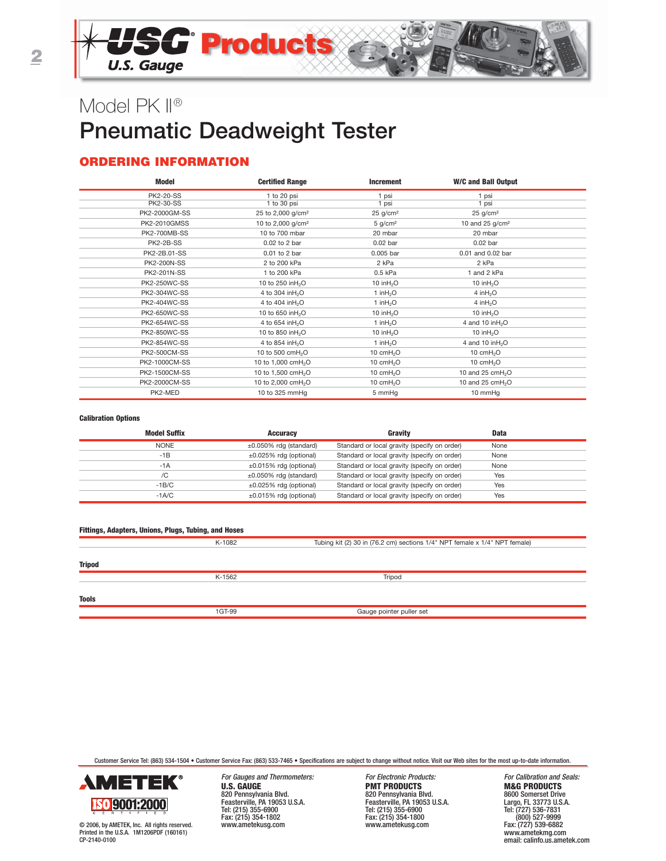# Model PK II® **Pneumatic Deadweight Tester**

## **ORDERING INFORMATION**

| Model               | <b>Certified Range</b>         | <b>Increment</b>       | <b>W/C and Ball Output</b>   |  |
|---------------------|--------------------------------|------------------------|------------------------------|--|
| <b>PK2-20-SS</b>    | 1 to 20 psi                    | 1 psi                  | 1 psi                        |  |
| <b>PK2-30-SS</b>    | 1 to 30 psi                    | 1 psi                  | 1 psi                        |  |
| PK2-2000GM-SS       | 25 to 2,000 g/cm <sup>2</sup>  | $25$ g/cm <sup>2</sup> | 25 g/cm <sup>2</sup>         |  |
| PK2-2010GMSS        | 10 to 2,000 g/cm <sup>2</sup>  | $5$ g/cm <sup>2</sup>  | 10 and 25 g/cm <sup>2</sup>  |  |
| <b>PK2-700MB-SS</b> | 10 to 700 mbar                 | 20 mbar                | 20 mbar                      |  |
| PK2-2B-SS           | 0.02 to 2 bar                  | $0.02$ bar             | $0.02$ bar                   |  |
| PK2-2B.01-SS        | 0.01 to 2 bar                  | 0.005 bar              | 0.01 and 0.02 bar            |  |
| <b>PK2-200N-SS</b>  | 2 to 200 kPa                   | 2 kPa                  | 2 kPa                        |  |
| <b>PK2-201N-SS</b>  | 1 to 200 kPa                   | 0.5 kPa                | 1 and 2 kPa                  |  |
| <b>PK2-250WC-SS</b> | 10 to 250 in H <sub>2</sub> O  | 10 in $H2O$            | 10 in $H2O$                  |  |
| PK2-304WC-SS        | 4 to 304 in H <sub>2</sub> O   | 1 in $H_2O$            | 4 in $H_2O$                  |  |
| <b>PK2-404WC-SS</b> | 4 to 404 in H <sub>2</sub> O   | 1 in $H_2O$            | 4 in $H_2O$                  |  |
| <b>PK2-650WC-SS</b> | 10 to 650 in H <sub>2</sub> O  | 10 in $H2O$            | 10 in $H2O$                  |  |
| <b>PK2-654WC-SS</b> | 4 to 654 in H <sub>2</sub> O   | 1 in $H_2O$            | 4 and 10 in $H_2O$           |  |
| <b>PK2-850WC-SS</b> | 10 to 850 in H <sub>2</sub> O  | 10 in $H2O$            | 10 in $H2O$                  |  |
| <b>PK2-854WC-SS</b> | 4 to 854 in H <sub>2</sub> O   | 1 in $H_2O$            | 4 and 10 in $H_2O$           |  |
| <b>PK2-500CM-SS</b> | 10 to 500 cmH <sub>2</sub> O   | 10 cmH <sub>2</sub> O  | 10 $cmH2O$                   |  |
| PK2-1000CM-SS       | 10 to 1,000 cmH <sub>2</sub> O | 10 $cmH2O$             | 10 $cmH2O$                   |  |
| PK2-1500CM-SS       | 10 to 1,500 cmH <sub>2</sub> O | 10 cmH <sub>2</sub> O  | 10 and 25 cmH <sub>2</sub> O |  |
| PK2-2000CM-SS       | 10 to 2,000 cmH <sub>2</sub> O | 10 $cmH2O$             | 10 and 25 $cmH2O$            |  |
| PK2-MED             | 10 to 325 mmHg                 | 5 mmHg                 | 10 mmHg                      |  |

#### **Calibration Options**

| <b>Model Suffix</b> | <b>Accuracy</b>              | Gravity                                      | <b>Data</b> |  |
|---------------------|------------------------------|----------------------------------------------|-------------|--|
| <b>NONE</b>         | $\pm 0.050\%$ rdg (standard) | Standard or local gravity (specify on order) | None        |  |
| $-1B$               | $\pm 0.025\%$ rdg (optional) | Standard or local gravity (specify on order) | None        |  |
| $-1A$               | $\pm 0.015\%$ rdg (optional) | Standard or local gravity (specify on order) | None        |  |
| /C                  | $\pm 0.050\%$ rdg (standard) | Standard or local gravity (specify on order) | Yes         |  |
| $-1B/C$             | $\pm 0.025\%$ rdg (optional) | Standard or local gravity (specify on order) | Yes         |  |
| $-1A/C$             | $\pm 0.015\%$ rdg (optional) | Standard or local gravity (specify on order) | Yes         |  |

| Fittings, Adapters, Unions, Plugs, Tubing, and Hoses |        |                                                                            |  |  |  |
|------------------------------------------------------|--------|----------------------------------------------------------------------------|--|--|--|
|                                                      | K-1082 | Tubing kit (2) 30 in (76.2 cm) sections 1/4" NPT female x 1/4" NPT female) |  |  |  |
| <b>Tripod</b>                                        |        |                                                                            |  |  |  |
|                                                      | K-1562 | Tripod                                                                     |  |  |  |
| <b>Tools</b>                                         |        |                                                                            |  |  |  |
|                                                      | 1GT-99 | Gauge pointer puller set                                                   |  |  |  |

Customer Service Tel: (863) 534-1504 • Customer Service Fax: (863) 533-7465 • Specifications are subject to change without notice. Visit our Web sites for the most up-to-date information.



© 2006, by AMETEK, Inc. All rights reserved. Printed in the U.S.A. 1M1206PDF (160161) CP-2140-0100

For Gauges and Thermometers: For Electronic Products: For Calibration and Seals:<br> **For Electronic Products:** For Formulation and Seals: **FRODUCTS M&G PRODUCTS U.S. GAUGE PMT PRODUCTS**<br>
820 Pennsylvania Blvd.<br>
Feasterville, PA 19053 U.S.A.<br>
Feasterville, PA 19053 U.S.A.<br>
Feasterville, PA 1903 820 Pennsylvania Blvd. 820 Pennsylvania Blvd. 8600 Somerset Drive Feasterville, PA 19053 U.S.A. Feasterville, PA 19053 U.S.A. Largo, FL 33773 U.S.A. 1.0000 Scores Christianus and Capital and Capital and Capital and Capital and Capital and Capital and Capital<br>
Tel: (215) 355-6900 Somerset Drive<br>
Tel: (215) 355-5900 Tel: (215) 356-5900 Tel: (215) 356-7831<br>
Tel: (215) 356 Fax: (215) 354-1802 Fax: (215) 354-1800 (800) 527-9999

www.ametekusg.com

(800) 527-9999<br>Fax: (727) 539-6882<br>www.ametekmg.com email: calinfo.us.ametek.com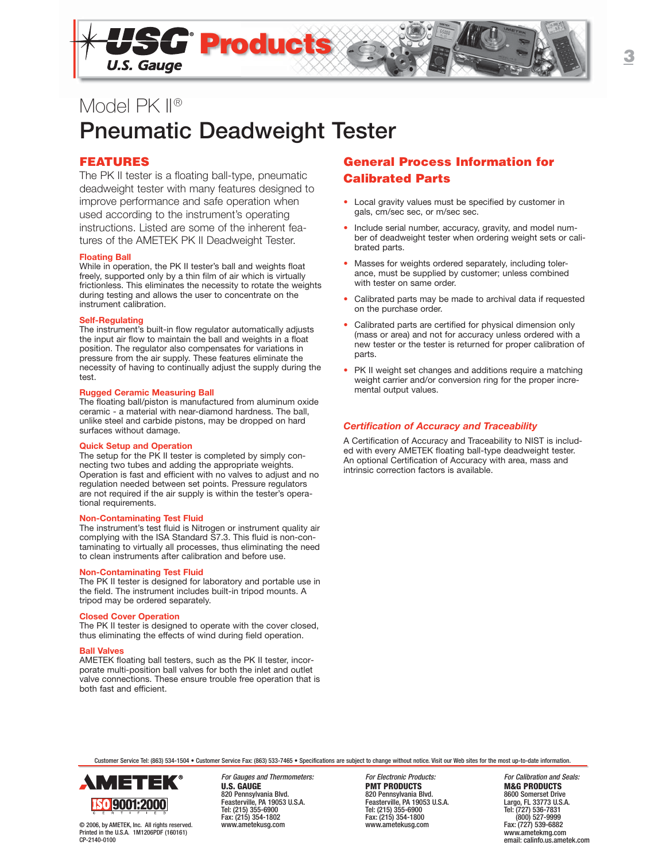

# Model PK II® **Pneumatic Deadweight Tester**

## **FEATURES**

The PK II tester is a floating ball-type, pneumatic deadweight tester with many features designed to improve performance and safe operation when used according to the instrument's operating instructions. Listed are some of the inherent features of the AMETEK PK II Deadweight Tester.

#### **Floating Ball**

While in operation, the PK II tester's ball and weights float freely, supported only by a thin film of air which is virtually frictionless. This eliminates the necessity to rotate the weights during testing and allows the user to concentrate on the instrument calibration.

#### **Self-Regulating**

The instrument's built-in flow regulator automatically adjusts the input air flow to maintain the ball and weights in a float position. The regulator also compensates for variations in pressure from the air supply. These features eliminate the necessity of having to continually adjust the supply during the test.

#### **Rugged Ceramic Measuring Ball**

The floating ball/piston is manufactured from aluminum oxide ceramic - a material with near-diamond hardness. The ball, unlike steel and carbide pistons, may be dropped on hard surfaces without damage.

#### **Quick Setup and Operation**

The setup for the PK II tester is completed by simply connecting two tubes and adding the appropriate weights. Operation is fast and efficient with no valves to adjust and no regulation needed between set points. Pressure regulators are not required if the air supply is within the tester's operational requirements.

#### **Non-Contaminating Test Fluid**

The instrument's test fluid is Nitrogen or instrument quality air complying with the ISA Standard S7.3. This fluid is non-contaminating to virtually all processes, thus eliminating the need to clean instruments after calibration and before use.

### **Non-Contaminating Test Fluid**

The PK II tester is designed for laboratory and portable use in the field. The instrument includes built-in tripod mounts. A tripod may be ordered separately.

#### **Closed Cover Operation**

The PK II tester is designed to operate with the cover closed, thus eliminating the effects of wind during field operation.

#### **Ball Valves**

AMETEK floating ball testers, such as the PK II tester, incorporate multi-position ball valves for both the inlet and outlet valve connections. These ensure trouble free operation that is both fast and efficient.

## **General Process Information for Calibrated Parts**

- Local gravity values must be specified by customer in gals, cm/sec sec, or m/sec sec.
- Include serial number, accuracy, gravity, and model number of deadweight tester when ordering weight sets or calibrated parts.
- Masses for weights ordered separately, including tolerance, must be supplied by customer; unless combined with tester on same order.
- Calibrated parts may be made to archival data if requested on the purchase order.
- Calibrated parts are certified for physical dimension only (mass or area) and not for accuracy unless ordered with a new tester or the tester is returned for proper calibration of parts.
- PK II weight set changes and additions require a matching weight carrier and/or conversion ring for the proper incremental output values.

#### *Certification of Accuracy and Traceability*

A Certification of Accuracy and Traceability to NIST is included with every AMETEK floating ball-type deadweight tester. An optional Certification of Accuracy with area, mass and intrinsic correction factors is available.

Customer Service Tel: (863) 534-1504 • Customer Service Fax: (863) 533-7465 • Specifications are subject to change without notice. Visit our Web sites for the most up-to-date information.



© 2006, by AMETEK, Inc. All rights reserved. Printed in the U.S.A. 1M1206PDF (160161) CP-2140-0100

For Gauges and Thermometers: For Electronic Products: For Galibration and Seals:<br> **For Electronic Products**<br> **For Electronic Products**<br> **For Calibration and Seals: PRODUCTS U.S. GAUGE PMT PRODUCTS M&G PRODUCTS** 820 Pennsylvania Blvd. 820 Pennsylvania Blvd. 8600 Somerset Drive Feasterville, PA 19053 U.S.A. Feasterville, PA 19053 U.S.A. Largo, FL 33773 U.S.A. Tel: (215) 355-6900 Tel: (215) 355-6900 Tel: (727) 536-7831 Fax: (215) 354-1802 Fax: (215) 354-1800 (800) 527-9999

Fax: (727) 539-6882 www.ametekmg.com email: calinfo.us.ametek.com